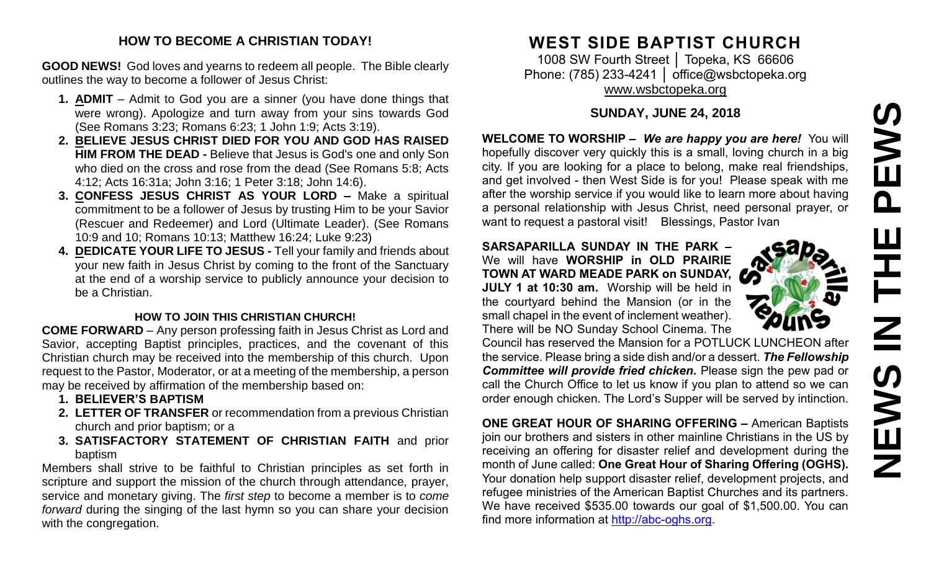# **NEWS IN THE PEWS**PEWS  $\overline{\mathbf{Z}}$ **SANEWS**

#### **HOW TO BECOME A CHRISTIAN TODAY!**

**GOOD NEWS!** God loves and yearns to redeem all people. The Bible clearly outlines the way to become a follower of Jesus Christ:

- **1. ADMIT** Admit to God you are a sinner (you have done things that were wrong). Apologize and turn away from your sins towards God (See Romans 3:23; Romans 6:23; 1 John 1:9; Acts 3:19).
- **2. BELIEVE JESUS CHRIST DIED FOR YOU AND GOD HAS RAISED HIM FROM THE DEAD -** Believe that Jesus is God's one and only Son who died on the cross and rose from the dead (See Romans 5:8; Acts 4:12; Acts 16:31a; John 3:16; 1 Peter 3:18; John 14:6).
- **3. CONFESS JESUS CHRIST AS YOUR LORD –** Make a spiritual commitment to be a follower of Jesus by trusting Him to be your Savior (Rescuer and Redeemer) and Lord (Ultimate Leader). (See Romans 10:9 and 10; Romans 10:13; Matthew 16:24; Luke 9:23)
- **4. DEDICATE YOUR LIFE TO JESUS -** Tell your family and friends about your new faith in Jesus Christ by coming to the front of the Sanctuary at the end of a worship service to publicly announce your decision to be a Christian.

#### **HOW TO JOIN THIS CHRISTIAN CHURCH!**

**COME FORWARD** – Any person professing faith in Jesus Christ as Lord and Savior, accepting Baptist principles, practices, and the covenant of this Christian church may be received into the membership of this church. Upon request to the Pastor, Moderator, or at a meeting of the membership, a person may be received by affirmation of the membership based on:

- **1. BELIEVER'S BAPTISM**
- **2. LETTER OF TRANSFER** or recommendation from a previous Christian church and prior baptism; or a
- **3. SATISFACTORY STATEMENT OF CHRISTIAN FAITH** and prior baptism

Members shall strive to be faithful to Christian principles as set forth in scripture and support the mission of the church through attendance, prayer, service and monetary giving. The *first step* to become a member is to *come forward* during the singing of the last hymn so you can share your decision with the congregation.

# **WEST SIDE BAPTIST CHURCH**

1008 SW Fourth Street │ Topeka, KS 66606 Phone: (785) 233-4241 | [office@wsbctopeka.org](mailto:office@wsbctopeka.org) [www.wsbctopeka.org](http://www.wsbctopeka.org/)

### **SUNDAY, JUNE 24, 2018**

**WELCOME TO WORSHIP –** *We are happy you are here!* You will hopefully discover very quickly this is a small, loving church in a big city. If you are looking for a place to belong, make real friendships, and get involved - then West Side is for you! Please speak with me after the worship service if you would like to learn more about having a personal relationship with Jesus Christ, need personal prayer, or want to request a pastoral visit! Blessings, Pastor Ivan

#### **SARSAPARILLA SUNDAY IN THE PARK –** We will have **WORSHIP in OLD PRAIRIE TOWN AT WARD MEADE PARK on SUNDAY, JULY 1 at 10:30 am.** Worship will be held in the courtyard behind the Mansion (or in the small chapel in the event of inclement weather). There will be NO Sunday School Cinema. The

Council has reserved the Mansion for a POTLUCK LUNCHEON after the service. Please bring a side dish and/or a dessert. *The Fellowship Committee will provide fried chicken.* Please sign the pew pad or call the Church Office to let us know if you plan to attend so we can order enough chicken. The Lord's Supper will be served by intinction.

**ONE GREAT HOUR OF SHARING OFFERING –** American Baptists join our brothers and sisters in other mainline Christians in the US by receiving an offering for disaster relief and development during the month of June called: **One Great Hour of Sharing Offering (OGHS).**  Your donation help support disaster relief, development projects, and refugee ministries of the American Baptist Churches and its partners. We have received \$535.00 towards our goal of \$1,500.00. You can find more information at [http://abc-oghs.org.](http://abc-oghs.org/)

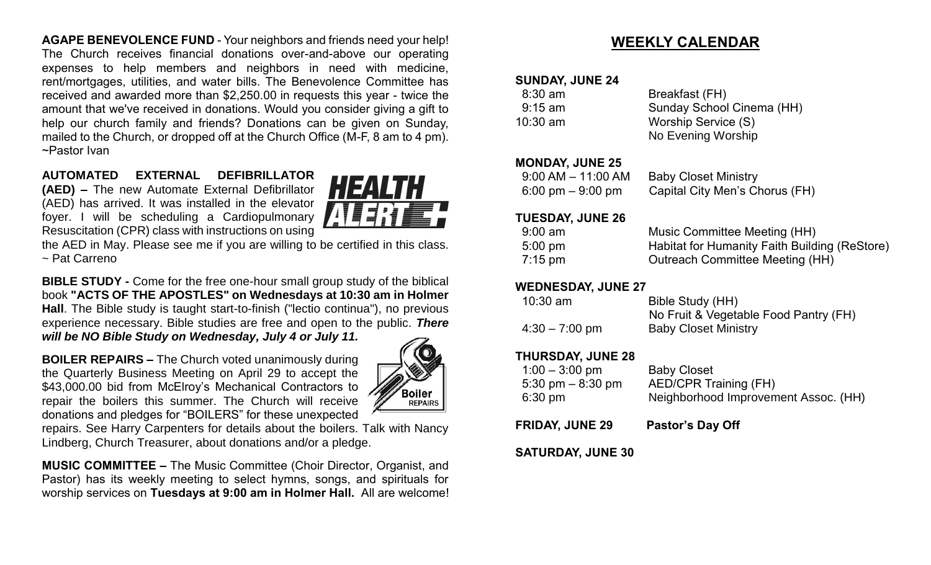**AGAPE BENEVOLENCE FUND** - Your neighbors and friends need your help! The Church receives financial donations over-and-above our operating expenses to help members and neighbors in need with medicine, rent/mortgages, utilities, and water bills. The Benevolence Committee has received and awarded more than \$2,250.00 in requests this year - twice the amount that we've received in donations. Would you consider giving a gift to help our church family and friends? Donations can be given on Sunday, mailed to the Church, or dropped off at the Church Office (M-F, 8 am to 4 pm). ~Pastor Ivan

#### **AUTOMATED EXTERNAL DEFIBRILLATOR**

**(AED) –** The new Automate External Defibrillator (AED) has arrived. It was installed in the elevator foyer. I will be scheduling a Cardiopulmonary Resuscitation (CPR) class with instructions on using



the AED in May. Please see me if you are willing to be certified in this class. ~ Pat Carreno

**BIBLE STUDY -** Come for the free one-hour small group study of the biblical book **"ACTS OF THE APOSTLES" on Wednesdays at 10:30 am in Holmer Hall**. The Bible study is taught start-to-finish ("lectio continua"), no previous experience necessary. Bible studies are free and open to the public. *There will be NO Bible Study on Wednesday, July 4 or July 11.*

**BOILER REPAIRS –** The Church voted unanimously during the Quarterly Business Meeting on April 29 to accept the \$43,000.00 bid from McElroy's Mechanical Contractors to repair the boilers this summer. The Church will receive donations and pledges for "BOILERS" for these unexpected



repairs. See Harry Carpenters for details about the boilers. Talk with Nancy Lindberg, Church Treasurer, about donations and/or a pledge.

**MUSIC COMMITTEE –** The Music Committee (Choir Director, Organist, and Pastor) has its weekly meeting to select hymns, songs, and spirituals for worship services on **Tuesdays at 9:00 am in Holmer Hall.** All are welcome!

# **WEEKLY CALENDAR**

#### **SUNDAY, JUNE 24**

| $8:30 \text{ am}$ | Breakfast (FH)            |
|-------------------|---------------------------|
| $9:15$ am         | Sunday School Cinema (HH) |
| $10:30$ am        | Worship Service (S)       |
|                   | No Evening Worship        |

#### **MONDAY, JUNE 25**

| $9:00$ AM $-$ 11:00 AM              | <b>Baby Closet Ministry</b>    |
|-------------------------------------|--------------------------------|
| $6:00 \text{ pm} - 9:00 \text{ pm}$ | Capital City Men's Chorus (FH) |

#### **TUESDAY, JUNE 26**

| $9:00$ am         | Music Committee Meeting (HH)                  |
|-------------------|-----------------------------------------------|
| $5:00 \text{ pm}$ | Habitat for Humanity Faith Building (ReStore) |
| $7:15$ pm         | Outreach Committee Meeting (HH)               |

#### **WEDNESDAY, JUNE 27**

| $10:30$ am       | Bible Study (HH)                      |
|------------------|---------------------------------------|
|                  | No Fruit & Vegetable Food Pantry (FH) |
| $4:30 - 7:00$ pm | <b>Baby Closet Ministry</b>           |

#### **THURSDAY, JUNE 28**

| $1:00 - 3:00$ pm                    | <b>Baby Closet</b>                   |
|-------------------------------------|--------------------------------------|
| $5:30 \text{ pm} - 8:30 \text{ pm}$ | <b>AED/CPR Training (FH)</b>         |
| $6:30 \text{ pm}$                   | Neighborhood Improvement Assoc. (HH) |

**FRIDAY, JUNE 29 Pastor's Day Off**

**SATURDAY, JUNE 30**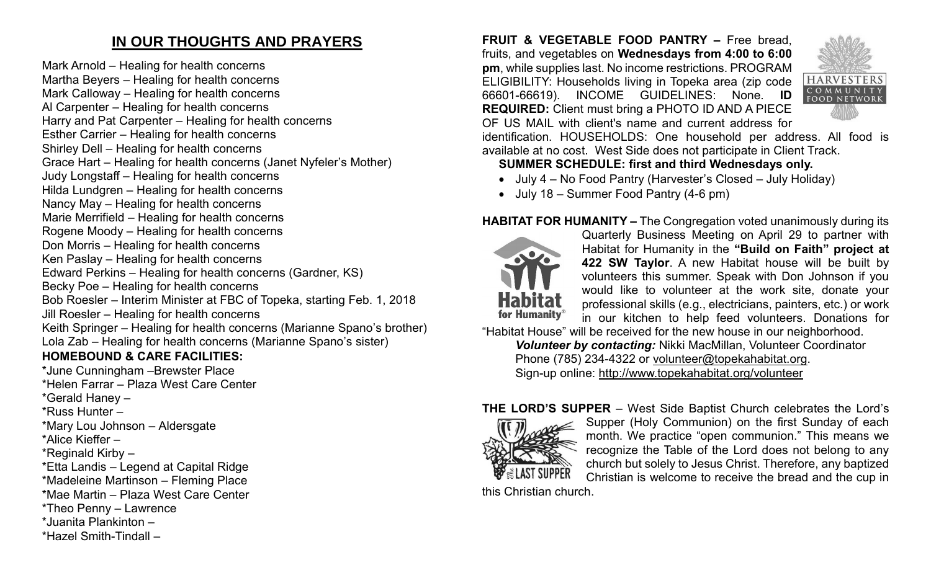# **IN OUR THOUGHTS AND PRAYERS**

Mark Arnold – Healing for health concerns Martha Beyers – Healing for health concerns Mark Calloway – Healing for health concerns Al Carpenter – Healing for health concerns Harry and Pat Carpenter – Healing for health concerns Esther Carrier – Healing for health concerns Shirley Dell – Healing for health concerns Grace Hart – Healing for health concerns (Janet Nyfeler's Mother) Judy Longstaff – Healing for health concerns Hilda Lundgren – Healing for health concerns Nancy May – Healing for health concerns Marie Merrifield – Healing for health concerns Rogene Moody – Healing for health concerns Don Morris – Healing for health concerns Ken Paslay – Healing for health concerns Edward Perkins – Healing for health concerns (Gardner, KS) Becky Poe – Healing for health concerns Bob Roesler – Interim Minister at FBC of Topeka, starting Feb. 1, 2018 Jill Roesler – Healing for health concerns Keith Springer – Healing for health concerns (Marianne Spano's brother) Lola Zab – Healing for health concerns (Marianne Spano's sister) **HOMEBOUND & CARE FACILITIES:** \*June Cunningham –Brewster Place \*Helen Farrar – Plaza West Care Center

\*Gerald Haney –

\*Russ Hunter –

\*Mary Lou Johnson – Aldersgate

\*Alice Kieffer –

\*Reginald Kirby –

\*Etta Landis – Legend at Capital Ridge

\*Madeleine Martinson – Fleming Place

\*Mae Martin – Plaza West Care Center

\*Theo Penny – Lawrence

\*Juanita Plankinton –

\*Hazel Smith-Tindall –

**FRUIT & VEGETABLE FOOD PANTRY –** Free bread, fruits, and vegetables on **Wednesdays from 4:00 to 6:00 pm**, while supplies last. No income restrictions. PROGRAM ELIGIBILITY: Households living in Topeka area (zip code 66601-66619). INCOME GUIDELINES: None. **ID REQUIRED:** Client must bring a PHOTO ID AND A PIECE OF US MAIL with client's name and current address for



identification. HOUSEHOLDS: One household per address. All food is available at no cost. West Side does not participate in Client Track.

## **SUMMER SCHEDULE: first and third Wednesdays only.**

- July 4 No Food Pantry (Harvester's Closed July Holiday)
- July 18 Summer Food Pantry (4-6 pm)

## **HABITAT FOR HUMANITY –** The Congregation voted unanimously during its



Quarterly Business Meeting on April 29 to partner with Habitat for Humanity in the **"Build on Faith" project at 422 SW Taylor**. A new Habitat house will be built by volunteers this summer. Speak with Don Johnson if you would like to volunteer at the work site, donate your professional skills (e.g., electricians, painters, etc.) or work in our kitchen to help feed volunteers. Donations for

"Habitat House" will be received for the new house in our neighborhood. *Volunteer by contacting:* Nikki MacMillan, Volunteer Coordinator Phone (785) 234-4322 or [volunteer@topekahabitat.org.](mailto:volunteer@topekahabitat.org) Sign-up online:<http://www.topekahabitat.org/volunteer>

## **THE LORD'S SUPPER** – West Side Baptist Church celebrates the Lord's



Supper (Holy Communion) on the first Sunday of each month. We practice "open communion." This means we recognize the Table of the Lord does not belong to any church but solely to Jesus Christ. Therefore, any baptized Christian is welcome to receive the bread and the cup in

this Christian church.